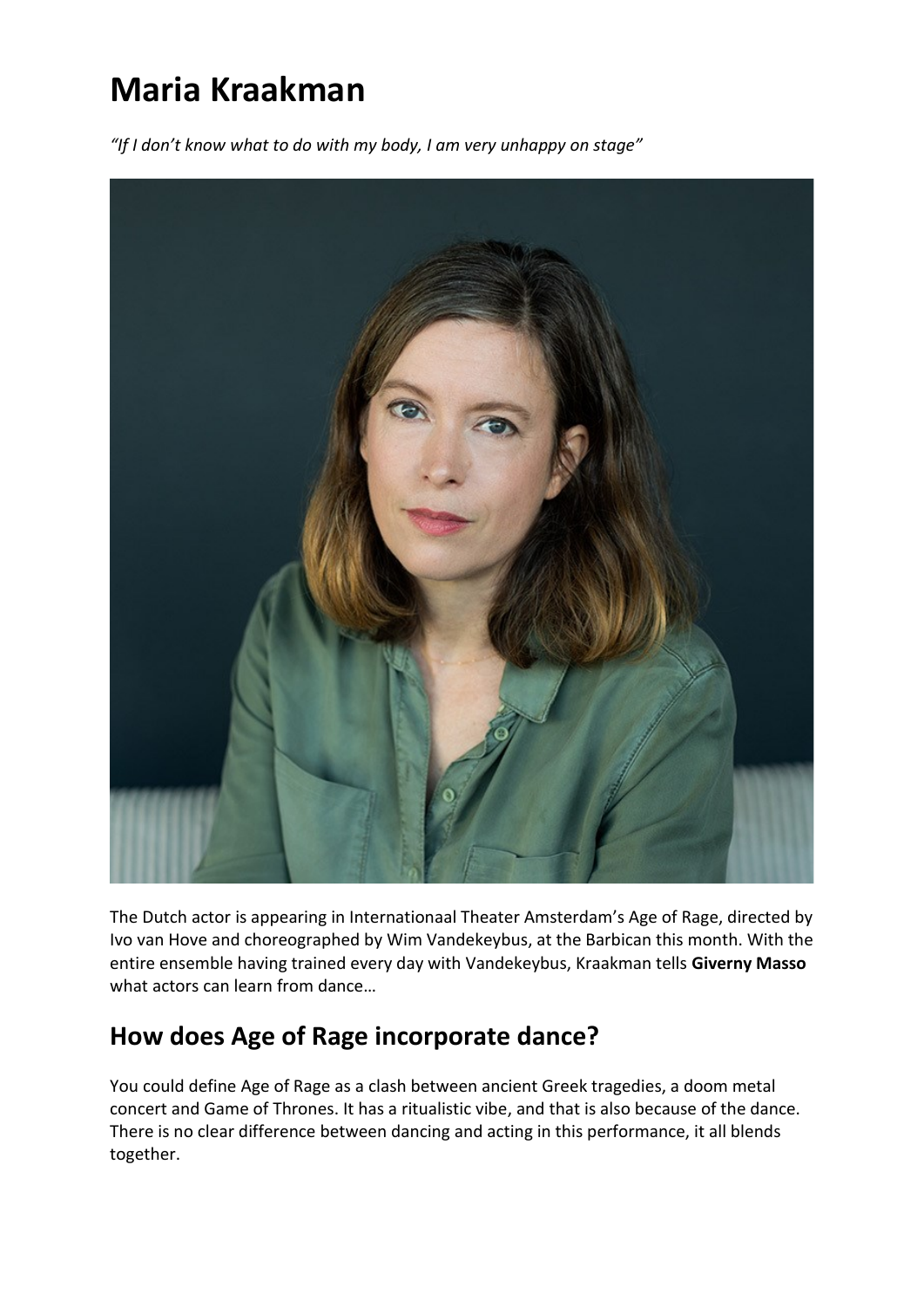# **Maria Kraakman**

*"If I don't know what to do with my body, I am very unhappy on stage"*



The Dutch actor is appearing in Internationaal Theater Amsterdam's Age of Rage, directed by Ivo van Hove and choreographed by Wim Vandekeybus, at the Barbican this month. With the entire ensemble having trained every day with Vandekeybus, Kraakman tells **Giverny Masso** what actors can learn from dance…

#### **How does Age of Rage incorporate dance?**

You could define [Age of Rage](https://www.thestage.co.uk/news/production-news/ivo-van-hoves-age-of-rage-to-play-the-barbican-centre) as a clash between ancient Greek tragedies, a doom metal concert and Game of Thrones. It has a ritualistic vibe, and that is also because of the dance. There is no clear difference between dancing and acting in this performance, it all blends together.